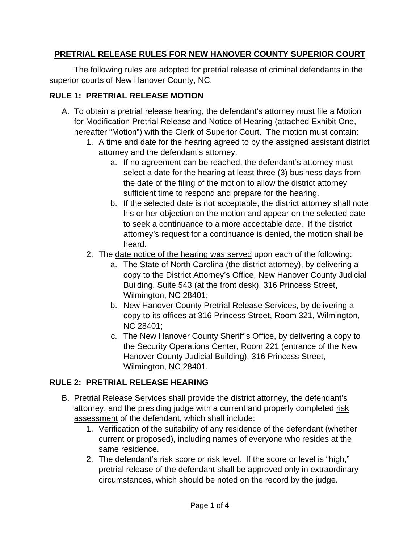## **PRETRIAL RELEASE RULES FOR NEW HANOVER COUNTY SUPERIOR COURT**

The following rules are adopted for pretrial release of criminal defendants in the superior courts of New Hanover County, NC.

## **RULE 1: PRETRIAL RELEASE MOTION**

- A. To obtain a pretrial release hearing, the defendant's attorney must file a Motion for Modification Pretrial Release and Notice of Hearing (attached Exhibit One, hereafter "Motion") with the Clerk of Superior Court. The motion must contain:
	- 1. A time and date for the hearing agreed to by the assigned assistant district attorney and the defendant's attorney.
		- a. If no agreement can be reached, the defendant's attorney must select a date for the hearing at least three (3) business days from the date of the filing of the motion to allow the district attorney sufficient time to respond and prepare for the hearing.
		- b. If the selected date is not acceptable, the district attorney shall note his or her objection on the motion and appear on the selected date to seek a continuance to a more acceptable date. If the district attorney's request for a continuance is denied, the motion shall be heard.
	- 2. The date notice of the hearing was served upon each of the following:
		- a. The State of North Carolina (the district attorney), by delivering a copy to the District Attorney's Office, New Hanover County Judicial Building, Suite 543 (at the front desk), 316 Princess Street, Wilmington, NC 28401;
		- b. New Hanover County Pretrial Release Services, by delivering a copy to its offices at 316 Princess Street, Room 321, Wilmington, NC 28401;
		- c. The New Hanover County Sheriff's Office, by delivering a copy to the Security Operations Center, Room 221 (entrance of the New Hanover County Judicial Building), 316 Princess Street, Wilmington, NC 28401.

### **RULE 2: PRETRIAL RELEASE HEARING**

- B. Pretrial Release Services shall provide the district attorney, the defendant's attorney, and the presiding judge with a current and properly completed risk assessment of the defendant, which shall include:
	- 1. Verification of the suitability of any residence of the defendant (whether current or proposed), including names of everyone who resides at the same residence.
	- 2. The defendant's risk score or risk level. If the score or level is "high," pretrial release of the defendant shall be approved only in extraordinary circumstances, which should be noted on the record by the judge.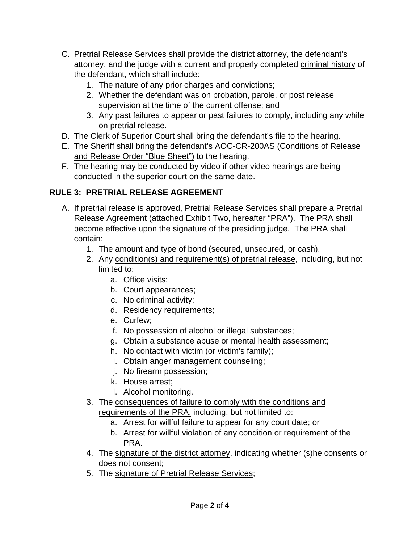- C. Pretrial Release Services shall provide the district attorney, the defendant's attorney, and the judge with a current and properly completed criminal history of the defendant, which shall include:
	- 1. The nature of any prior charges and convictions;
	- 2. Whether the defendant was on probation, parole, or post release supervision at the time of the current offense; and
	- 3. Any past failures to appear or past failures to comply, including any while on pretrial release.
- D. The Clerk of Superior Court shall bring the defendant's file to the hearing.
- E. The Sheriff shall bring the defendant's AOC-CR-200AS (Conditions of Release and Release Order "Blue Sheet") to the hearing.
- F. The hearing may be conducted by video if other video hearings are being conducted in the superior court on the same date.

# **RULE 3: PRETRIAL RELEASE AGREEMENT**

- A. If pretrial release is approved, Pretrial Release Services shall prepare a Pretrial Release Agreement (attached Exhibit Two, hereafter "PRA"). The PRA shall become effective upon the signature of the presiding judge. The PRA shall contain:
	- 1. The amount and type of bond (secured, unsecured, or cash).
	- 2. Any condition(s) and requirement(s) of pretrial release, including, but not limited to:
		- a. Office visits;
		- b. Court appearances;
		- c. No criminal activity;
		- d. Residency requirements;
		- e. Curfew;
		- f. No possession of alcohol or illegal substances;
		- g. Obtain a substance abuse or mental health assessment;
		- h. No contact with victim (or victim's family);
		- i. Obtain anger management counseling;
		- j. No firearm possession;
		- k. House arrest;
		- l. Alcohol monitoring.
	- 3. The consequences of failure to comply with the conditions and requirements of the PRA, including, but not limited to:
		- a. Arrest for willful failure to appear for any court date; or
		- b. Arrest for willful violation of any condition or requirement of the PRA.
	- 4. The signature of the district attorney, indicating whether (s)he consents or does not consent;
	- 5. The signature of Pretrial Release Services;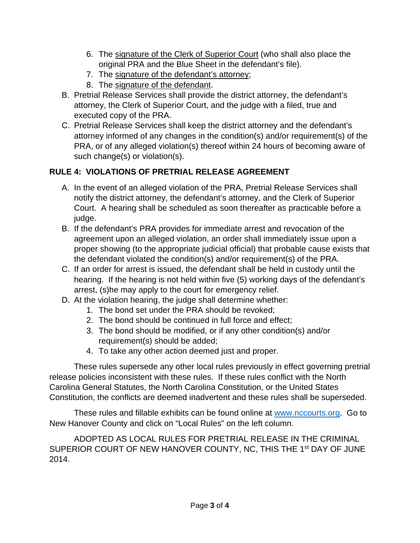- 6. The signature of the Clerk of Superior Court (who shall also place the original PRA and the Blue Sheet in the defendant's file).
- 7. The signature of the defendant's attorney;
- 8. The signature of the defendant.
- B. Pretrial Release Services shall provide the district attorney, the defendant's attorney, the Clerk of Superior Court, and the judge with a filed, true and executed copy of the PRA.
- C. Pretrial Release Services shall keep the district attorney and the defendant's attorney informed of any changes in the condition(s) and/or requirement(s) of the PRA, or of any alleged violation(s) thereof within 24 hours of becoming aware of such change(s) or violation(s).

# **RULE 4: VIOLATIONS OF PRETRIAL RELEASE AGREEMENT**

- A. In the event of an alleged violation of the PRA, Pretrial Release Services shall notify the district attorney, the defendant's attorney, and the Clerk of Superior Court. A hearing shall be scheduled as soon thereafter as practicable before a judge.
- B. If the defendant's PRA provides for immediate arrest and revocation of the agreement upon an alleged violation, an order shall immediately issue upon a proper showing (to the appropriate judicial official) that probable cause exists that the defendant violated the condition(s) and/or requirement(s) of the PRA.
- C. If an order for arrest is issued, the defendant shall be held in custody until the hearing. If the hearing is not held within five (5) working days of the defendant's arrest, (s)he may apply to the court for emergency relief.
- D. At the violation hearing, the judge shall determine whether:
	- 1. The bond set under the PRA should be revoked;
	- 2. The bond should be continued in full force and effect;
	- 3. The bond should be modified, or if any other condition(s) and/or requirement(s) should be added;
	- 4. To take any other action deemed just and proper.

These rules supersede any other local rules previously in effect governing pretrial release policies inconsistent with these rules. If these rules conflict with the North Carolina General Statutes, the North Carolina Constitution, or the United States Constitution, the conflicts are deemed inadvertent and these rules shall be superseded.

These rules and fillable exhibits can be found online at www.nccourts.org. Go to New Hanover County and click on "Local Rules" on the left column.

ADOPTED AS LOCAL RULES FOR PRETRIAL RELEASE IN THE CRIMINAL SUPERIOR COURT OF NEW HANOVER COUNTY, NC, THIS THE 1st DAY OF JUNE 2014.